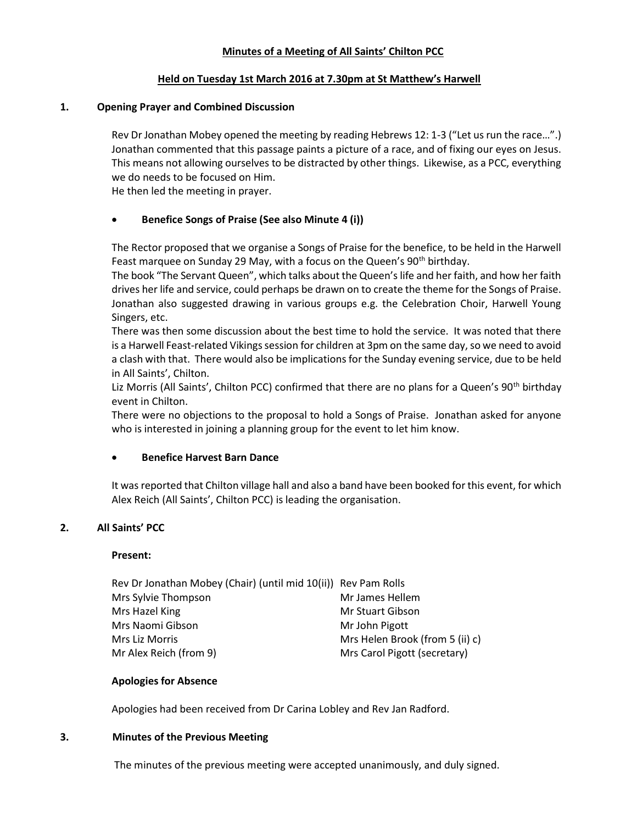## Minutes of a Meeting of All Saints' Chilton PCC

## Held on Tuesday 1st March 2016 at 7.30pm at St Matthew's Harwell

## 1. Opening Prayer and Combined Discussion

Rev Dr Jonathan Mobey opened the meeting by reading Hebrews 12: 1-3 ("Let us run the race…".) Jonathan commented that this passage paints a picture of a race, and of fixing our eyes on Jesus. This means not allowing ourselves to be distracted by other things. Likewise, as a PCC, everything we do needs to be focused on Him.

He then led the meeting in prayer.

# Benefice Songs of Praise (See also Minute 4 (i))

The Rector proposed that we organise a Songs of Praise for the benefice, to be held in the Harwell Feast marquee on Sunday 29 May, with a focus on the Queen's 90<sup>th</sup> birthday.

The book "The Servant Queen", which talks about the Queen's life and her faith, and how her faith drives her life and service, could perhaps be drawn on to create the theme for the Songs of Praise. Jonathan also suggested drawing in various groups e.g. the Celebration Choir, Harwell Young Singers, etc.

There was then some discussion about the best time to hold the service. It was noted that there is a Harwell Feast-related Vikings session for children at 3pm on the same day, so we need to avoid a clash with that. There would also be implications for the Sunday evening service, due to be held in All Saints', Chilton.

Liz Morris (All Saints', Chilton PCC) confirmed that there are no plans for a Queen's 90<sup>th</sup> birthday event in Chilton.

There were no objections to the proposal to hold a Songs of Praise. Jonathan asked for anyone who is interested in joining a planning group for the event to let him know.

# Benefice Harvest Barn Dance

It was reported that Chilton village hall and also a band have been booked for this event, for which Alex Reich (All Saints', Chilton PCC) is leading the organisation.

## 2. All Saints' PCC

## Present:

| Rev Dr Jonathan Mobey (Chair) (until mid 10(ii)) Rev Pam Rolls |                                 |
|----------------------------------------------------------------|---------------------------------|
| Mrs Sylvie Thompson                                            | Mr James Hellem                 |
| Mrs Hazel King                                                 | Mr Stuart Gibson                |
| Mrs Naomi Gibson                                               | Mr John Pigott                  |
| Mrs Liz Morris                                                 | Mrs Helen Brook (from 5 (ii) c) |
| Mr Alex Reich (from 9)                                         | Mrs Carol Pigott (secretary)    |

## Apologies for Absence

Apologies had been received from Dr Carina Lobley and Rev Jan Radford.

## 3. Minutes of the Previous Meeting

The minutes of the previous meeting were accepted unanimously, and duly signed.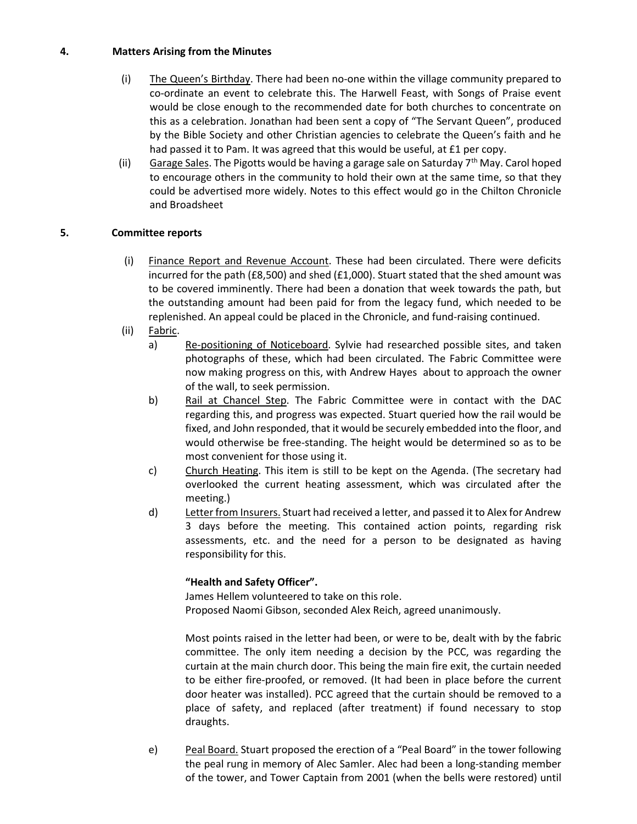# 4. Matters Arising from the Minutes

- (i) The Queen's Birthday. There had been no-one within the village community prepared to co-ordinate an event to celebrate this. The Harwell Feast, with Songs of Praise event would be close enough to the recommended date for both churches to concentrate on this as a celebration. Jonathan had been sent a copy of "The Servant Queen", produced by the Bible Society and other Christian agencies to celebrate the Queen's faith and he had passed it to Pam. It was agreed that this would be useful, at £1 per copy.
- (ii) Garage Sales. The Pigotts would be having a garage sale on Saturday  $7<sup>th</sup>$  May. Carol hoped to encourage others in the community to hold their own at the same time, so that they could be advertised more widely. Notes to this effect would go in the Chilton Chronicle and Broadsheet

# 5. Committee reports

- (i) Finance Report and Revenue Account. These had been circulated. There were deficits incurred for the path (£8,500) and shed (£1,000). Stuart stated that the shed amount was to be covered imminently. There had been a donation that week towards the path, but the outstanding amount had been paid for from the legacy fund, which needed to be replenished. An appeal could be placed in the Chronicle, and fund-raising continued.
- (ii) Fabric.
	- a) Re-positioning of Noticeboard. Sylvie had researched possible sites, and taken photographs of these, which had been circulated. The Fabric Committee were now making progress on this, with Andrew Hayes about to approach the owner of the wall, to seek permission.
	- b) Rail at Chancel Step. The Fabric Committee were in contact with the DAC regarding this, and progress was expected. Stuart queried how the rail would be fixed, and John responded, that it would be securely embedded into the floor, and would otherwise be free-standing. The height would be determined so as to be most convenient for those using it.
	- c) Church Heating. This item is still to be kept on the Agenda. (The secretary had overlooked the current heating assessment, which was circulated after the meeting.)
	- d) Letter from Insurers. Stuart had received a letter, and passed it to Alex for Andrew 3 days before the meeting. This contained action points, regarding risk assessments, etc. and the need for a person to be designated as having responsibility for this.

# "Health and Safety Officer".

James Hellem volunteered to take on this role. Proposed Naomi Gibson, seconded Alex Reich, agreed unanimously.

Most points raised in the letter had been, or were to be, dealt with by the fabric committee. The only item needing a decision by the PCC, was regarding the curtain at the main church door. This being the main fire exit, the curtain needed to be either fire-proofed, or removed. (It had been in place before the current door heater was installed). PCC agreed that the curtain should be removed to a place of safety, and replaced (after treatment) if found necessary to stop draughts.

e) Peal Board. Stuart proposed the erection of a "Peal Board" in the tower following the peal rung in memory of Alec Samler. Alec had been a long-standing member of the tower, and Tower Captain from 2001 (when the bells were restored) until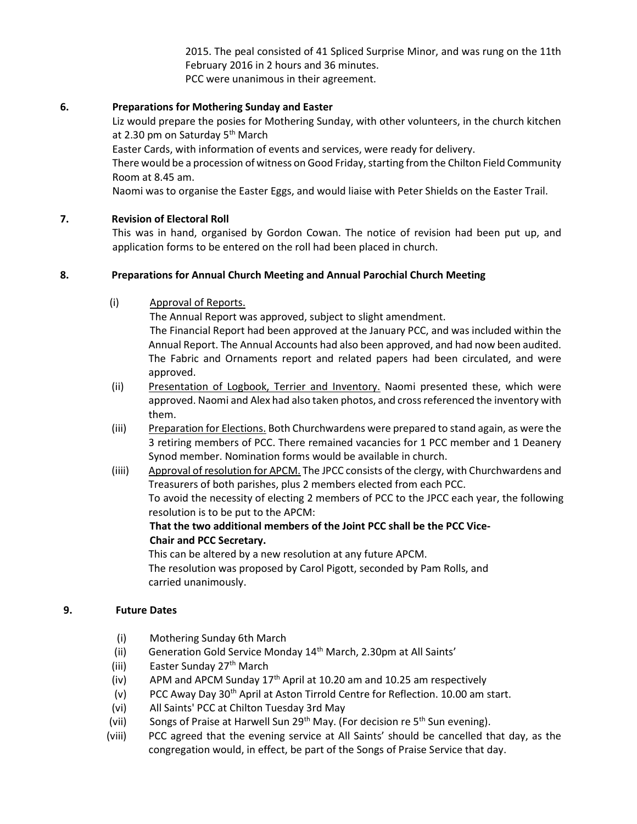2015. The peal consisted of 41 Spliced Surprise Minor, and was rung on the 11th February 2016 in 2 hours and 36 minutes. PCC were unanimous in their agreement.

# 6. Preparations for Mothering Sunday and Easter

Liz would prepare the posies for Mothering Sunday, with other volunteers, in the church kitchen at 2.30 pm on Saturday 5<sup>th</sup> March

Easter Cards, with information of events and services, were ready for delivery.

There would be a procession of witness on Good Friday, starting from the Chilton Field Community Room at 8.45 am.

Naomi was to organise the Easter Eggs, and would liaise with Peter Shields on the Easter Trail.

# 7. Revision of Electoral Roll

This was in hand, organised by Gordon Cowan. The notice of revision had been put up, and application forms to be entered on the roll had been placed in church.

# 8. Preparations for Annual Church Meeting and Annual Parochial Church Meeting

(i) Approval of Reports.

The Annual Report was approved, subject to slight amendment.

 The Financial Report had been approved at the January PCC, and was included within the Annual Report. The Annual Accounts had also been approved, and had now been audited. The Fabric and Ornaments report and related papers had been circulated, and were approved.

- (ii) Presentation of Logbook, Terrier and Inventory. Naomi presented these, which were approved. Naomi and Alex had also taken photos, and cross referenced the inventory with them.
- (iii) Preparation for Elections. Both Churchwardens were prepared to stand again, as were the 3 retiring members of PCC. There remained vacancies for 1 PCC member and 1 Deanery Synod member. Nomination forms would be available in church.
- (iiii) Approval of resolution for APCM. The JPCC consists of the clergy, with Churchwardens and Treasurers of both parishes, plus 2 members elected from each PCC. To avoid the necessity of electing 2 members of PCC to the JPCC each year, the following resolution is to be put to the APCM:

# That the two additional members of the Joint PCC shall be the PCC Vice-Chair and PCC Secretary.

This can be altered by a new resolution at any future APCM. The resolution was proposed by Carol Pigott, seconded by Pam Rolls, and carried unanimously.

# 9. Future Dates

- (i) Mothering Sunday 6th March
- (ii) Generation Gold Service Monday 14<sup>th</sup> March, 2.30pm at All Saints'
- (iii) Easter Sunday 27<sup>th</sup> March
- (iv) APM and APCM Sunday  $17<sup>th</sup>$  April at 10.20 am and 10.25 am respectively
- (v) PCC Away Day 30th April at Aston Tirrold Centre for Reflection. 10.00 am start.
- (vi) All Saints' PCC at Chilton Tuesday 3rd May
- (vii) Songs of Praise at Harwell Sun 29<sup>th</sup> May. (For decision re 5<sup>th</sup> Sun evening).
- (viii) PCC agreed that the evening service at All Saints' should be cancelled that day, as the congregation would, in effect, be part of the Songs of Praise Service that day.